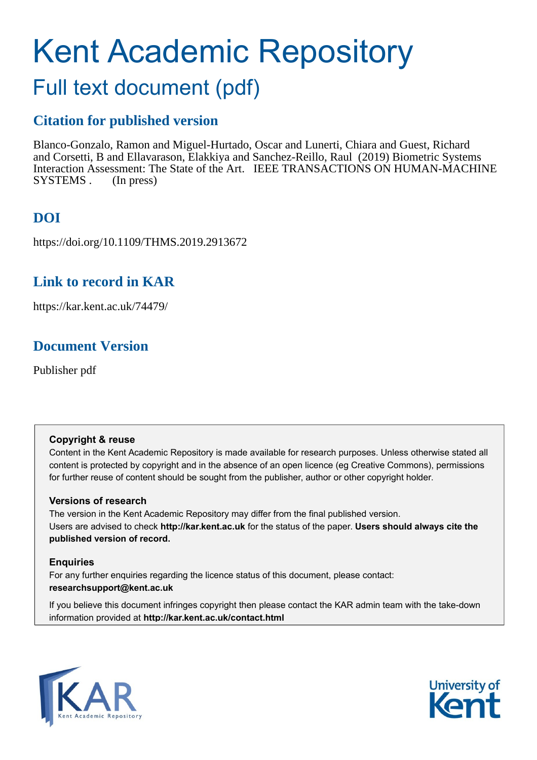# Kent Academic Repository

# Full text document (pdf)

### **Citation for published version**

Blanco-Gonzalo, Ramon and Miguel-Hurtado, Oscar and Lunerti, Chiara and Guest, Richard and Corsetti, B and Ellavarason, Elakkiya and Sanchez-Reillo, Raul (2019) Biometric Systems Interaction Assessment: The State of the Art. IEEE TRANSACTIONS ON HUMAN-MACHINE SYSTEMS . (In press)

# **DOI**

https://doi.org/10.1109/THMS.2019.2913672

### **Link to record in KAR**

https://kar.kent.ac.uk/74479/

## **Document Version**

Publisher pdf

#### **Copyright & reuse**

Content in the Kent Academic Repository is made available for research purposes. Unless otherwise stated all content is protected by copyright and in the absence of an open licence (eg Creative Commons), permissions for further reuse of content should be sought from the publisher, author or other copyright holder.

#### **Versions of research**

The version in the Kent Academic Repository may differ from the final published version. Users are advised to check **http://kar.kent.ac.uk** for the status of the paper. **Users should always cite the published version of record.**

#### **Enquiries**

For any further enquiries regarding the licence status of this document, please contact: **researchsupport@kent.ac.uk**

If you believe this document infringes copyright then please contact the KAR admin team with the take-down information provided at **http://kar.kent.ac.uk/contact.html**



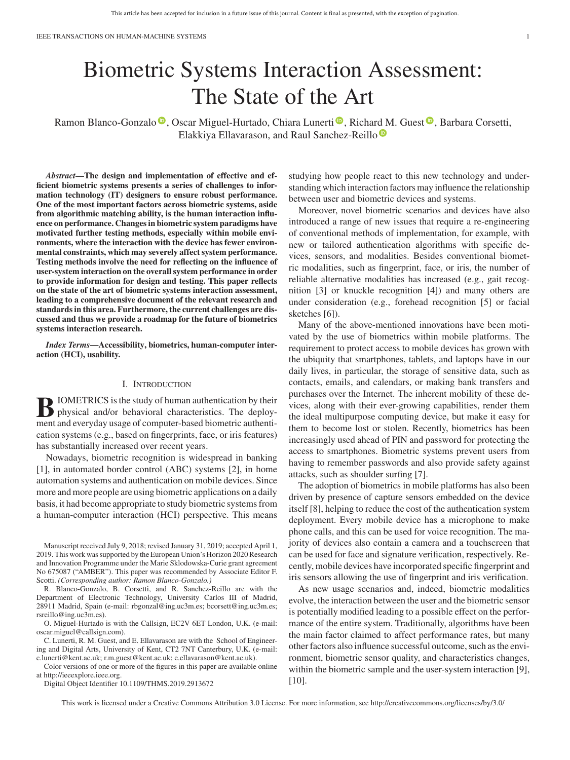# Biometric Systems Interaction Assessment: The State of the Art

Ramon Blanco-Gonzalo <sup>®</sup>[,](https://orcid.org/0000-0001-7535-7336) Oscar Miguel-Hurta[d](https://orcid.org/0000-0003-4239-985X)o, Chiara Lunerti <sup>®</sup>, Richard [M](https://orcid.org/0000-0003-4239-985X). Guest <sup>®</sup>, Barbara Corsetti, Elakkiya Ellavarason, and Raul Sanchez-Reillo

*Abstract***—The design and implementation of effective and efficient biometric systems presents a series of challenges to information technology (IT) designers to ensure robust performance. One of the most important factors across biometric systems, aside from algorithmic matching ability, is the human interaction influence on performance. Changes in biometric system paradigms have motivated further testing methods, especially within mobile environments, where the interaction with the device has fewer environmental constraints, which may severely affect system performance. Testing methods involve the need for reflecting on the influence of user-system interaction on the overall system performance in order to provide information for design and testing. This paper reflects on the state of the art of biometric systems interaction assessment, leading to a comprehensive document of the relevant research and standards in this area. Furthermore, the current challenges are discussed and thus we provide a roadmap for the future of biometrics systems interaction research.**

*Index Terms***—Accessibility, biometrics, human-computer interaction (HCI), usability.**

#### I. INTRODUCTION

**B**IOMETRICS is the study of human authentication by their<br>physical and/or behavioral characteristics. The deploy-<br>ment and everyday usage of computer based biometric authenti ment and everyday usage of computer-based biometric authentication systems (e.g., based on fingerprints, face, or iris features) has substantially increased over recent years.

Nowadays, biometric recognition is widespread in banking [1], in automated border control (ABC) systems [2], in home automation systems and authentication on mobile devices. Since more and more people are using biometric applications on a daily basis, it had become appropriate to study biometric systems from a human-computer interaction (HCI) perspective. This means

Manuscript received July 9, 2018; revised January 31, 2019; accepted April 1, 2019. This work was supported by the European Union's Horizon 2020 Research and Innovation Programme under the Marie Sklodowska-Curie grant agreement No 675087 ("AMBER"). This paper was recommended by Associate Editor F. Scotti. *(Corresponding author: Ramon Blanco-Gonzalo.)*

R. Blanco-Gonzalo, B. Corsetti, and R. Sanchez-Reillo are with the Department of Electronic Technology, University Carlos III of Madrid, 28911 Madrid, Spain (e-mail: [rbgonzal@ing.uc3m.es;](mailto:rbgonzal@ing.uc3m.es) [bcorsett@ing.uc3m.es;](mailto:bcorsett@ing.uc3m.es) [rsreillo@ing.uc3m.es\)](mailto:rsreillo@ing.uc3m.es).

O. Miguel-Hurtado is with the Callsign, EC2V 6ET London, U.K. (e-mail: [oscar.miguel@callsign.com\)](mailto:oscar.miguel@callsign.com).

C. Lunerti, R. M. Guest, and E. Ellavarason are with the School of Engineering and Digital Arts, University of Kent, CT2 7NT Canterbury, U.K. (e-mail: [c.lunerti@kent.ac.uk;](mailto:c.lunerti@kent.ac.uk) [r.m.guest@kent.ac.uk;](mailto:r.m.guest@kent.ac.uk) [e.ellavarason@kent.ac.uk\)](mailto:e.ellavarason@kent.ac.uk).

Color versions of one or more of the figures in this paper are available online at http://ieeexplore.ieee.org.

Digital Object Identifier 10.1109/THMS.2019.2913672

studying how people react to this new technology and understanding which interaction factors may influence the relationship between user and biometric devices and systems.

Moreover, novel biometric scenarios and devices have also introduced a range of new issues that require a re-engineering of conventional methods of implementation, for example, with new or tailored authentication algorithms with specific devices, sensors, and modalities. Besides conventional biometric modalities, such as fingerprint, face, or iris, the number of reliable alternative modalities has increased (e.g., gait recognition [3] or knuckle recognition [4]) and many others are under consideration (e.g., forehead recognition [5] or facial sketches [6]).

Many of the above-mentioned innovations have been motivated by the use of biometrics within mobile platforms. The requirement to protect access to mobile devices has grown with the ubiquity that smartphones, tablets, and laptops have in our daily lives, in particular, the storage of sensitive data, such as contacts, emails, and calendars, or making bank transfers and purchases over the Internet. The inherent mobility of these devices, along with their ever-growing capabilities, render them the ideal multipurpose computing device, but make it easy for them to become lost or stolen. Recently, biometrics has been increasingly used ahead of PIN and password for protecting the access to smartphones. Biometric systems prevent users from having to remember passwords and also provide safety against attacks, such as shoulder surfing [7].

The adoption of biometrics in mobile platforms has also been driven by presence of capture sensors embedded on the device itself [8], helping to reduce the cost of the authentication system deployment. Every mobile device has a microphone to make phone calls, and this can be used for voice recognition. The majority of devices also contain a camera and a touchscreen that can be used for face and signature verification, respectively. Recently, mobile devices have incorporated specific fingerprint and iris sensors allowing the use of fingerprint and iris verification.

As new usage scenarios and, indeed, biometric modalities evolve, the interaction between the user and the biometric sensor is potentially modified leading to a possible effect on the performance of the entire system. Traditionally, algorithms have been the main factor claimed to affect performance rates, but many other factors also influence successful outcome, such as the environment, biometric sensor quality, and characteristics changes, within the biometric sample and the user-system interaction [9], [10].

This work is licensed under a Creative Commons Attribution 3.0 License. For more information, see http://creativecommons.org/licenses/by/3.0/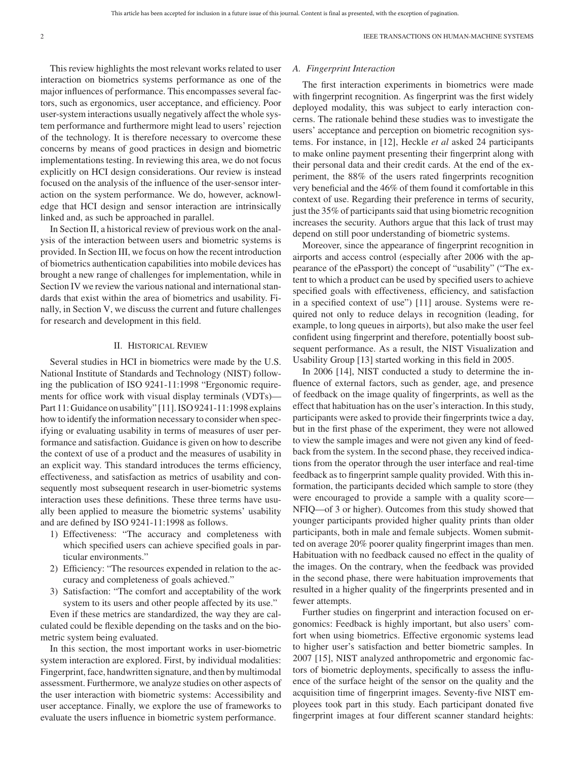This review highlights the most relevant works related to user interaction on biometrics systems performance as one of the major influences of performance. This encompasses several factors, such as ergonomics, user acceptance, and efficiency. Poor user-system interactions usually negatively affect the whole system performance and furthermore might lead to users' rejection of the technology. It is therefore necessary to overcome these concerns by means of good practices in design and biometric implementations testing. In reviewing this area, we do not focus explicitly on HCI design considerations. Our review is instead focused on the analysis of the influence of the user-sensor interaction on the system performance. We do, however, acknowledge that HCI design and sensor interaction are intrinsically linked and, as such be approached in parallel.

In Section II, a historical review of previous work on the analysis of the interaction between users and biometric systems is provided. In Section III, we focus on how the recent introduction of biometrics authentication capabilities into mobile devices has brought a new range of challenges for implementation, while in Section IV we review the various national and international standards that exist within the area of biometrics and usability. Finally, in Section V, we discuss the current and future challenges for research and development in this field.

#### II. HISTORICAL REVIEW

Several studies in HCI in biometrics were made by the U.S. National Institute of Standards and Technology (NIST) following the publication of ISO 9241-11:1998 "Ergonomic requirements for office work with visual display terminals (VDTs)— Part 11: Guidance on usability" [11]. ISO 9241-11:1998 explains how to identify the information necessary to consider when specifying or evaluating usability in terms of measures of user performance and satisfaction. Guidance is given on how to describe the context of use of a product and the measures of usability in an explicit way. This standard introduces the terms efficiency, effectiveness, and satisfaction as metrics of usability and consequently most subsequent research in user-biometric systems interaction uses these definitions. These three terms have usually been applied to measure the biometric systems' usability and are defined by ISO 9241-11:1998 as follows.

- 1) Effectiveness: "The accuracy and completeness with which specified users can achieve specified goals in particular environments."
- 2) Efficiency: "The resources expended in relation to the accuracy and completeness of goals achieved."
- 3) Satisfaction: "The comfort and acceptability of the work system to its users and other people affected by its use."

Even if these metrics are standardized, the way they are calculated could be flexible depending on the tasks and on the biometric system being evaluated.

In this section, the most important works in user-biometric system interaction are explored. First, by individual modalities: Fingerprint, face, handwritten signature, and then by multimodal assessment. Furthermore, we analyze studies on other aspects of the user interaction with biometric systems: Accessibility and user acceptance. Finally, we explore the use of frameworks to evaluate the users influence in biometric system performance.

#### *A. Fingerprint Interaction*

The first interaction experiments in biometrics were made with fingerprint recognition. As fingerprint was the first widely deployed modality, this was subject to early interaction concerns. The rationale behind these studies was to investigate the users' acceptance and perception on biometric recognition systems. For instance, in [12], Heckle *et al* asked 24 participants to make online payment presenting their fingerprint along with their personal data and their credit cards. At the end of the experiment, the 88% of the users rated fingerprints recognition very beneficial and the 46% of them found it comfortable in this context of use. Regarding their preference in terms of security, just the 35% of participants said that using biometric recognition increases the security. Authors argue that this lack of trust may depend on still poor understanding of biometric systems.

Moreover, since the appearance of fingerprint recognition in airports and access control (especially after 2006 with the appearance of the ePassport) the concept of "usability" ("The extent to which a product can be used by specified users to achieve specified goals with effectiveness, efficiency, and satisfaction in a specified context of use") [11] arouse. Systems were required not only to reduce delays in recognition (leading, for example, to long queues in airports), but also make the user feel confident using fingerprint and therefore, potentially boost subsequent performance. As a result, the NIST Visualization and Usability Group [13] started working in this field in 2005.

In 2006 [14], NIST conducted a study to determine the influence of external factors, such as gender, age, and presence of feedback on the image quality of fingerprints, as well as the effect that habituation has on the user's interaction. In this study, participants were asked to provide their fingerprints twice a day, but in the first phase of the experiment, they were not allowed to view the sample images and were not given any kind of feedback from the system. In the second phase, they received indications from the operator through the user interface and real-time feedback as to fingerprint sample quality provided. With this information, the participants decided which sample to store (they were encouraged to provide a sample with a quality score— NFIQ—of 3 or higher). Outcomes from this study showed that younger participants provided higher quality prints than older participants, both in male and female subjects. Women submitted on average 20% poorer quality fingerprint images than men. Habituation with no feedback caused no effect in the quality of the images. On the contrary, when the feedback was provided in the second phase, there were habituation improvements that resulted in a higher quality of the fingerprints presented and in fewer attempts.

Further studies on fingerprint and interaction focused on ergonomics: Feedback is highly important, but also users' comfort when using biometrics. Effective ergonomic systems lead to higher user's satisfaction and better biometric samples. In 2007 [15], NIST analyzed anthropometric and ergonomic factors of biometric deployments, specifically to assess the influence of the surface height of the sensor on the quality and the acquisition time of fingerprint images. Seventy-five NIST employees took part in this study. Each participant donated five fingerprint images at four different scanner standard heights: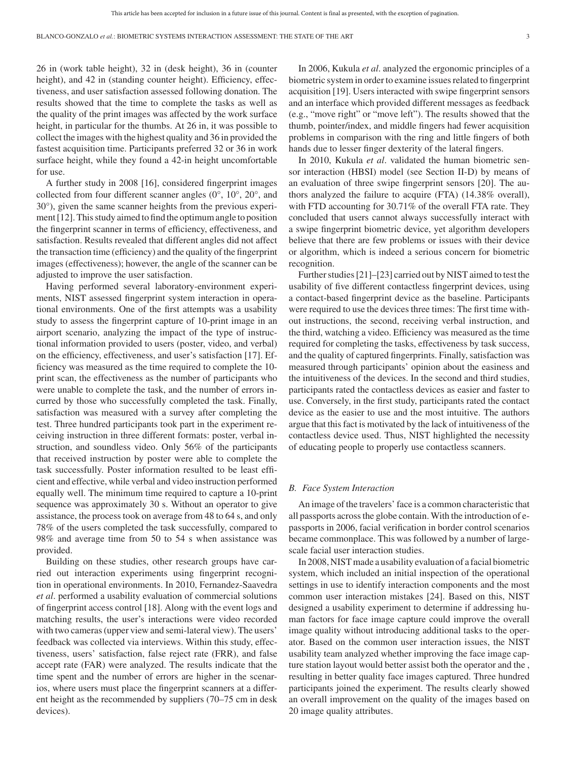26 in (work table height), 32 in (desk height), 36 in (counter height), and 42 in (standing counter height). Efficiency, effectiveness, and user satisfaction assessed following donation. The results showed that the time to complete the tasks as well as the quality of the print images was affected by the work surface height, in particular for the thumbs. At 26 in, it was possible to collect the images with the highest quality and 36 in provided the fastest acquisition time. Participants preferred 32 or 36 in work surface height, while they found a 42-in height uncomfortable for use.

A further study in 2008 [16], considered fingerprint images collected from four different scanner angles (0°, 10°, 20°, and 30°), given the same scanner heights from the previous experiment [12]. This study aimed to find the optimum angle to position the fingerprint scanner in terms of efficiency, effectiveness, and satisfaction. Results revealed that different angles did not affect the transaction time (efficiency) and the quality of the fingerprint images (effectiveness); however, the angle of the scanner can be adjusted to improve the user satisfaction.

Having performed several laboratory-environment experiments, NIST assessed fingerprint system interaction in operational environments. One of the first attempts was a usability study to assess the fingerprint capture of 10-print image in an airport scenario, analyzing the impact of the type of instructional information provided to users (poster, video, and verbal) on the efficiency, effectiveness, and user's satisfaction [17]. Efficiency was measured as the time required to complete the 10 print scan, the effectiveness as the number of participants who were unable to complete the task, and the number of errors incurred by those who successfully completed the task. Finally, satisfaction was measured with a survey after completing the test. Three hundred participants took part in the experiment receiving instruction in three different formats: poster, verbal instruction, and soundless video. Only 56% of the participants that received instruction by poster were able to complete the task successfully. Poster information resulted to be least efficient and effective, while verbal and video instruction performed equally well. The minimum time required to capture a 10-print sequence was approximately 30 s. Without an operator to give assistance, the process took on average from 48 to 64 s, and only 78% of the users completed the task successfully, compared to 98% and average time from 50 to 54 s when assistance was provided.

Building on these studies, other research groups have carried out interaction experiments using fingerprint recognition in operational environments. In 2010, Fernandez-Saavedra *et al*. performed a usability evaluation of commercial solutions of fingerprint access control [18]. Along with the event logs and matching results, the user's interactions were video recorded with two cameras (upper view and semi-lateral view). The users' feedback was collected via interviews. Within this study, effectiveness, users' satisfaction, false reject rate (FRR), and false accept rate (FAR) were analyzed. The results indicate that the time spent and the number of errors are higher in the scenarios, where users must place the fingerprint scanners at a different height as the recommended by suppliers (70–75 cm in desk devices).

In 2006, Kukula *et al*. analyzed the ergonomic principles of a biometric system in order to examine issues related to fingerprint acquisition [19]. Users interacted with swipe fingerprint sensors and an interface which provided different messages as feedback (e.g., "move right" or "move left"). The results showed that the thumb, pointer/index, and middle fingers had fewer acquisition problems in comparison with the ring and little fingers of both hands due to lesser finger dexterity of the lateral fingers.

In 2010, Kukula *et al*. validated the human biometric sensor interaction (HBSI) model (see Section II-D) by means of an evaluation of three swipe fingerprint sensors [20]. The authors analyzed the failure to acquire (FTA) (14.38% overall), with FTD accounting for 30.71% of the overall FTA rate. They concluded that users cannot always successfully interact with a swipe fingerprint biometric device, yet algorithm developers believe that there are few problems or issues with their device or algorithm, which is indeed a serious concern for biometric recognition.

Further studies [21]–[23] carried out by NIST aimed to test the usability of five different contactless fingerprint devices, using a contact-based fingerprint device as the baseline. Participants were required to use the devices three times: The first time without instructions, the second, receiving verbal instruction, and the third, watching a video. Efficiency was measured as the time required for completing the tasks, effectiveness by task success, and the quality of captured fingerprints. Finally, satisfaction was measured through participants' opinion about the easiness and the intuitiveness of the devices. In the second and third studies, participants rated the contactless devices as easier and faster to use. Conversely, in the first study, participants rated the contact device as the easier to use and the most intuitive. The authors argue that this fact is motivated by the lack of intuitiveness of the contactless device used. Thus, NIST highlighted the necessity of educating people to properly use contactless scanners.

#### *B. Face System Interaction*

An image of the travelers' face is a common characteristic that all passports across the globe contain. With the introduction of epassports in 2006, facial verification in border control scenarios became commonplace. This was followed by a number of largescale facial user interaction studies.

In 2008, NIST made a usability evaluation of a facial biometric system, which included an initial inspection of the operational settings in use to identify interaction components and the most common user interaction mistakes [24]. Based on this, NIST designed a usability experiment to determine if addressing human factors for face image capture could improve the overall image quality without introducing additional tasks to the operator. Based on the common user interaction issues, the NIST usability team analyzed whether improving the face image capture station layout would better assist both the operator and the , resulting in better quality face images captured. Three hundred participants joined the experiment. The results clearly showed an overall improvement on the quality of the images based on 20 image quality attributes.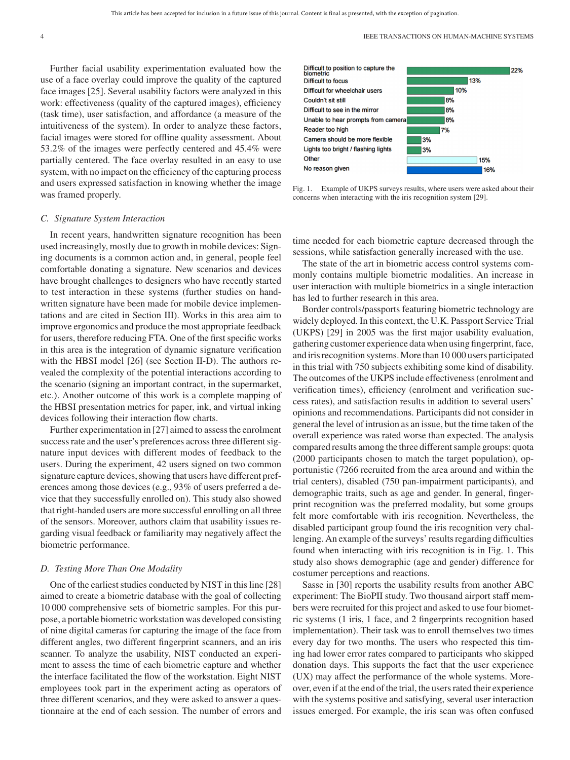Further facial usability experimentation evaluated how the use of a face overlay could improve the quality of the captured face images [25]. Several usability factors were analyzed in this work: effectiveness (quality of the captured images), efficiency (task time), user satisfaction, and affordance (a measure of the intuitiveness of the system). In order to analyze these factors, facial images were stored for offline quality assessment. About 53.2% of the images were perfectly centered and 45.4% were partially centered. The face overlay resulted in an easy to use system, with no impact on the efficiency of the capturing process and users expressed satisfaction in knowing whether the image was framed properly.

#### *C. Signature System Interaction*

In recent years, handwritten signature recognition has been used increasingly, mostly due to growth in mobile devices: Signing documents is a common action and, in general, people feel comfortable donating a signature. New scenarios and devices have brought challenges to designers who have recently started to test interaction in these systems (further studies on handwritten signature have been made for mobile device implementations and are cited in Section III). Works in this area aim to improve ergonomics and produce the most appropriate feedback for users, therefore reducing FTA. One of the first specific works in this area is the integration of dynamic signature verification with the HBSI model [26] (see Section II-D). The authors revealed the complexity of the potential interactions according to the scenario (signing an important contract, in the supermarket, etc.). Another outcome of this work is a complete mapping of the HBSI presentation metrics for paper, ink, and virtual inking devices following their interaction flow charts.

Further experimentation in [27] aimed to assess the enrolment success rate and the user's preferences across three different signature input devices with different modes of feedback to the users. During the experiment, 42 users signed on two common signature capture devices, showing that users have different preferences among those devices (e.g., 93% of users preferred a device that they successfully enrolled on). This study also showed that right-handed users are more successful enrolling on all three of the sensors. Moreover, authors claim that usability issues regarding visual feedback or familiarity may negatively affect the biometric performance.

#### *D. Testing More Than One Modality*

One of the earliest studies conducted by NIST in this line [28] aimed to create a biometric database with the goal of collecting 10 000 comprehensive sets of biometric samples. For this purpose, a portable biometric workstation was developed consisting of nine digital cameras for capturing the image of the face from different angles, two different fingerprint scanners, and an iris scanner. To analyze the usability, NIST conducted an experiment to assess the time of each biometric capture and whether the interface facilitated the flow of the workstation. Eight NIST employees took part in the experiment acting as operators of three different scenarios, and they were asked to answer a questionnaire at the end of each session. The number of errors and



Fig. 1. Example of UKPS surveys results, where users were asked about their concerns when interacting with the iris recognition system [29].

time needed for each biometric capture decreased through the sessions, while satisfaction generally increased with the use.

The state of the art in biometric access control systems commonly contains multiple biometric modalities. An increase in user interaction with multiple biometrics in a single interaction has led to further research in this area.

Border controls/passports featuring biometric technology are widely deployed. In this context, the U.K. Passport Service Trial (UKPS) [29] in 2005 was the first major usability evaluation, gathering customer experience data when using fingerprint, face, and iris recognition systems.More than 10 000 users participated in this trial with 750 subjects exhibiting some kind of disability. The outcomes of the UKPS include effectiveness (enrolment and verification times), efficiency (enrolment and verification success rates), and satisfaction results in addition to several users' opinions and recommendations. Participants did not consider in general the level of intrusion as an issue, but the time taken of the overall experience was rated worse than expected. The analysis compared results among the three different sample groups: quota (2000 participants chosen to match the target population), opportunistic (7266 recruited from the area around and within the trial centers), disabled (750 pan-impairment participants), and demographic traits, such as age and gender. In general, fingerprint recognition was the preferred modality, but some groups felt more comfortable with iris recognition. Nevertheless, the disabled participant group found the iris recognition very challenging. An example of the surveys' results regarding difficulties found when interacting with iris recognition is in Fig. 1. This study also shows demographic (age and gender) difference for costumer perceptions and reactions.

Sasse in [30] reports the usability results from another ABC experiment: The BioPII study. Two thousand airport staff members were recruited for this project and asked to use four biometric systems (1 iris, 1 face, and 2 fingerprints recognition based implementation). Their task was to enroll themselves two times every day for two months. The users who respected this timing had lower error rates compared to participants who skipped donation days. This supports the fact that the user experience (UX) may affect the performance of the whole systems. Moreover, even if at the end of the trial, the users rated their experience with the systems positive and satisfying, several user interaction issues emerged. For example, the iris scan was often confused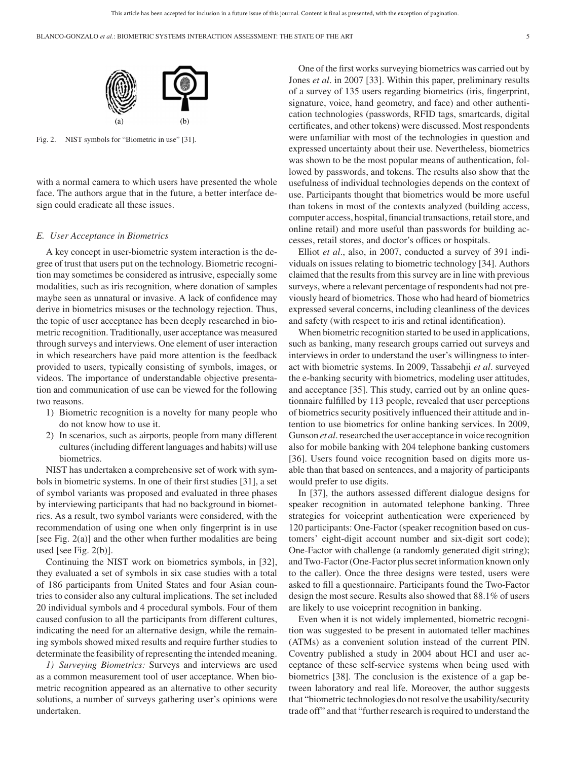

Fig. 2. NIST symbols for "Biometric in use" [31].

with a normal camera to which users have presented the whole face. The authors argue that in the future, a better interface design could eradicate all these issues.

#### *E. User Acceptance in Biometrics*

A key concept in user-biometric system interaction is the degree of trust that users put on the technology. Biometric recognition may sometimes be considered as intrusive, especially some modalities, such as iris recognition, where donation of samples maybe seen as unnatural or invasive. A lack of confidence may derive in biometrics misuses or the technology rejection. Thus, the topic of user acceptance has been deeply researched in biometric recognition. Traditionally, user acceptance was measured through surveys and interviews. One element of user interaction in which researchers have paid more attention is the feedback provided to users, typically consisting of symbols, images, or videos. The importance of understandable objective presentation and communication of use can be viewed for the following two reasons.

- 1) Biometric recognition is a novelty for many people who do not know how to use it.
- 2) In scenarios, such as airports, people from many different cultures (including different languages and habits) will use biometrics.

NIST has undertaken a comprehensive set of work with symbols in biometric systems. In one of their first studies [31], a set of symbol variants was proposed and evaluated in three phases by interviewing participants that had no background in biometrics. As a result, two symbol variants were considered, with the recommendation of using one when only fingerprint is in use [see Fig. 2(a)] and the other when further modalities are being used [see Fig. 2(b)].

Continuing the NIST work on biometrics symbols, in [32], they evaluated a set of symbols in six case studies with a total of 186 participants from United States and four Asian countries to consider also any cultural implications. The set included 20 individual symbols and 4 procedural symbols. Four of them caused confusion to all the participants from different cultures, indicating the need for an alternative design, while the remaining symbols showed mixed results and require further studies to determinate the feasibility of representing the intended meaning.

*1) Surveying Biometrics:* Surveys and interviews are used as a common measurement tool of user acceptance. When biometric recognition appeared as an alternative to other security solutions, a number of surveys gathering user's opinions were undertaken.

One of the first works surveying biometrics was carried out by Jones *et al*. in 2007 [33]. Within this paper, preliminary results of a survey of 135 users regarding biometrics (iris, fingerprint, signature, voice, hand geometry, and face) and other authentication technologies (passwords, RFID tags, smartcards, digital certificates, and other tokens) were discussed. Most respondents were unfamiliar with most of the technologies in question and expressed uncertainty about their use. Nevertheless, biometrics was shown to be the most popular means of authentication, followed by passwords, and tokens. The results also show that the usefulness of individual technologies depends on the context of use. Participants thought that biometrics would be more useful than tokens in most of the contexts analyzed (building access, computer access, hospital, financial transactions, retail store, and online retail) and more useful than passwords for building accesses, retail stores, and doctor's offices or hospitals.

Elliot *et al*., also, in 2007, conducted a survey of 391 individuals on issues relating to biometric technology [34]. Authors claimed that the results from this survey are in line with previous surveys, where a relevant percentage of respondents had not previously heard of biometrics. Those who had heard of biometrics expressed several concerns, including cleanliness of the devices and safety (with respect to iris and retinal identification).

When biometric recognition started to be used in applications, such as banking, many research groups carried out surveys and interviews in order to understand the user's willingness to interact with biometric systems. In 2009, Tassabehji *et al*. surveyed the e-banking security with biometrics, modeling user attitudes, and acceptance [35]. This study, carried out by an online questionnaire fulfilled by 113 people, revealed that user perceptions of biometrics security positively influenced their attitude and intention to use biometrics for online banking services. In 2009, Gunson *et al*. researched the user acceptance in voice recognition also for mobile banking with 204 telephone banking customers [36]. Users found voice recognition based on digits more usable than that based on sentences, and a majority of participants would prefer to use digits.

In [37], the authors assessed different dialogue designs for speaker recognition in automated telephone banking. Three strategies for voiceprint authentication were experienced by 120 participants: One-Factor (speaker recognition based on customers' eight-digit account number and six-digit sort code); One-Factor with challenge (a randomly generated digit string); and Two-Factor (One-Factor plus secret information known only to the caller). Once the three designs were tested, users were asked to fill a questionnaire. Participants found the Two-Factor design the most secure. Results also showed that 88.1% of users are likely to use voiceprint recognition in banking.

Even when it is not widely implemented, biometric recognition was suggested to be present in automated teller machines (ATMs) as a convenient solution instead of the current PIN. Coventry published a study in 2004 about HCI and user acceptance of these self-service systems when being used with biometrics [38]. The conclusion is the existence of a gap between laboratory and real life. Moreover, the author suggests that "biometric technologies do not resolve the usability/security trade off" and that "further research is required to understand the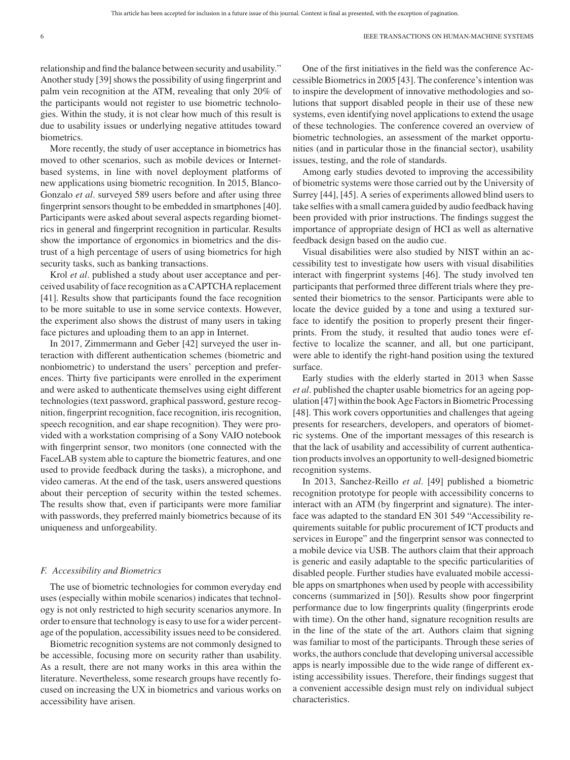relationship and find the balance between security and usability." Another study [39] shows the possibility of using fingerprint and palm vein recognition at the ATM, revealing that only 20% of the participants would not register to use biometric technologies. Within the study, it is not clear how much of this result is due to usability issues or underlying negative attitudes toward biometrics.

More recently, the study of user acceptance in biometrics has moved to other scenarios, such as mobile devices or Internetbased systems, in line with novel deployment platforms of new applications using biometric recognition. In 2015, Blanco-Gonzalo *et al*. surveyed 589 users before and after using three fingerprint sensors thought to be embedded in smartphones [40]. Participants were asked about several aspects regarding biometrics in general and fingerprint recognition in particular. Results show the importance of ergonomics in biometrics and the distrust of a high percentage of users of using biometrics for high security tasks, such as banking transactions.

Krol *et al*. published a study about user acceptance and perceived usability of face recognition as a CAPTCHA replacement [41]. Results show that participants found the face recognition to be more suitable to use in some service contexts. However, the experiment also shows the distrust of many users in taking face pictures and uploading them to an app in Internet.

In 2017, Zimmermann and Geber [42] surveyed the user interaction with different authentication schemes (biometric and nonbiometric) to understand the users' perception and preferences. Thirty five participants were enrolled in the experiment and were asked to authenticate themselves using eight different technologies (text password, graphical password, gesture recognition, fingerprint recognition, face recognition, iris recognition, speech recognition, and ear shape recognition). They were provided with a workstation comprising of a Sony VAIO notebook with fingerprint sensor, two monitors (one connected with the FaceLAB system able to capture the biometric features, and one used to provide feedback during the tasks), a microphone, and video cameras. At the end of the task, users answered questions about their perception of security within the tested schemes. The results show that, even if participants were more familiar with passwords, they preferred mainly biometrics because of its uniqueness and unforgeability.

#### *F. Accessibility and Biometrics*

The use of biometric technologies for common everyday end uses (especially within mobile scenarios) indicates that technology is not only restricted to high security scenarios anymore. In order to ensure that technology is easy to use for a wider percentage of the population, accessibility issues need to be considered.

Biometric recognition systems are not commonly designed to be accessible, focusing more on security rather than usability. As a result, there are not many works in this area within the literature. Nevertheless, some research groups have recently focused on increasing the UX in biometrics and various works on accessibility have arisen.

One of the first initiatives in the field was the conference Accessible Biometrics in 2005 [43]. The conference's intention was to inspire the development of innovative methodologies and solutions that support disabled people in their use of these new systems, even identifying novel applications to extend the usage of these technologies. The conference covered an overview of biometric technologies, an assessment of the market opportunities (and in particular those in the financial sector), usability issues, testing, and the role of standards.

Among early studies devoted to improving the accessibility of biometric systems were those carried out by the University of Surrey [44], [45]. A series of experiments allowed blind users to take selfies with a small camera guided by audio feedback having been provided with prior instructions. The findings suggest the importance of appropriate design of HCI as well as alternative feedback design based on the audio cue.

Visual disabilities were also studied by NIST within an accessibility test to investigate how users with visual disabilities interact with fingerprint systems [46]. The study involved ten participants that performed three different trials where they presented their biometrics to the sensor. Participants were able to locate the device guided by a tone and using a textured surface to identify the position to properly present their fingerprints. From the study, it resulted that audio tones were effective to localize the scanner, and all, but one participant, were able to identify the right-hand position using the textured surface.

Early studies with the elderly started in 2013 when Sasse *et al*. published the chapter usable biometrics for an ageing population [47] within the book Age Factors in Biometric Processing [48]. This work covers opportunities and challenges that ageing presents for researchers, developers, and operators of biometric systems. One of the important messages of this research is that the lack of usability and accessibility of current authentication products involves an opportunity to well-designed biometric recognition systems.

In 2013, Sanchez-Reillo *et al*. [49] published a biometric recognition prototype for people with accessibility concerns to interact with an ATM (by fingerprint and signature). The interface was adapted to the standard EN 301 549 "Accessibility requirements suitable for public procurement of ICT products and services in Europe" and the fingerprint sensor was connected to a mobile device via USB. The authors claim that their approach is generic and easily adaptable to the specific particularities of disabled people. Further studies have evaluated mobile accessible apps on smartphones when used by people with accessibility concerns (summarized in [50]). Results show poor fingerprint performance due to low fingerprints quality (fingerprints erode with time). On the other hand, signature recognition results are in the line of the state of the art. Authors claim that signing was familiar to most of the participants. Through these series of works, the authors conclude that developing universal accessible apps is nearly impossible due to the wide range of different existing accessibility issues. Therefore, their findings suggest that a convenient accessible design must rely on individual subject characteristics.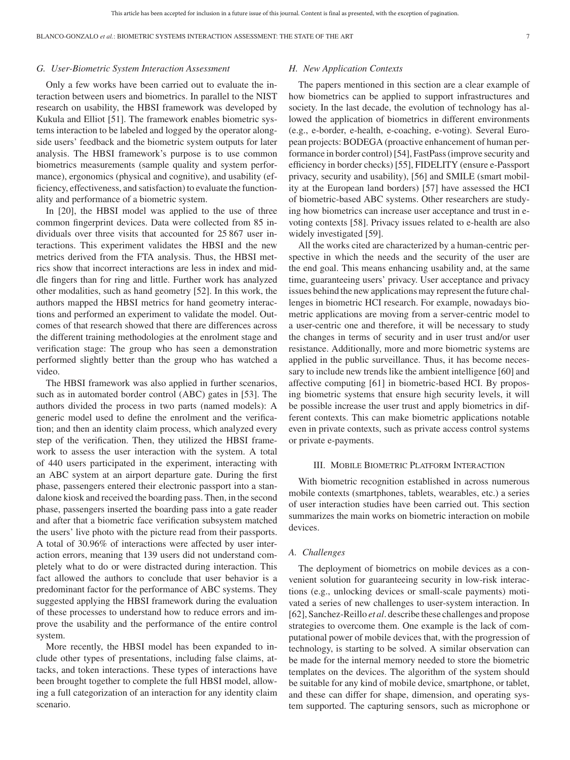#### *G. User-Biometric System Interaction Assessment*

Only a few works have been carried out to evaluate the interaction between users and biometrics. In parallel to the NIST research on usability, the HBSI framework was developed by Kukula and Elliot [51]. The framework enables biometric systems interaction to be labeled and logged by the operator alongside users' feedback and the biometric system outputs for later analysis. The HBSI framework's purpose is to use common biometrics measurements (sample quality and system performance), ergonomics (physical and cognitive), and usability (efficiency, effectiveness, and satisfaction) to evaluate the functionality and performance of a biometric system.

In [20], the HBSI model was applied to the use of three common fingerprint devices. Data were collected from 85 individuals over three visits that accounted for 25 867 user interactions. This experiment validates the HBSI and the new metrics derived from the FTA analysis. Thus, the HBSI metrics show that incorrect interactions are less in index and middle fingers than for ring and little. Further work has analyzed other modalities, such as hand geometry [52]. In this work, the authors mapped the HBSI metrics for hand geometry interactions and performed an experiment to validate the model. Outcomes of that research showed that there are differences across the different training methodologies at the enrolment stage and verification stage: The group who has seen a demonstration performed slightly better than the group who has watched a video.

The HBSI framework was also applied in further scenarios, such as in automated border control (ABC) gates in [53]. The authors divided the process in two parts (named models): A generic model used to define the enrolment and the verification; and then an identity claim process, which analyzed every step of the verification. Then, they utilized the HBSI framework to assess the user interaction with the system. A total of 440 users participated in the experiment, interacting with an ABC system at an airport departure gate. During the first phase, passengers entered their electronic passport into a standalone kiosk and received the boarding pass. Then, in the second phase, passengers inserted the boarding pass into a gate reader and after that a biometric face verification subsystem matched the users' live photo with the picture read from their passports. A total of 30.96% of interactions were affected by user interaction errors, meaning that 139 users did not understand completely what to do or were distracted during interaction. This fact allowed the authors to conclude that user behavior is a predominant factor for the performance of ABC systems. They suggested applying the HBSI framework during the evaluation of these processes to understand how to reduce errors and improve the usability and the performance of the entire control system.

More recently, the HBSI model has been expanded to include other types of presentations, including false claims, attacks, and token interactions. These types of interactions have been brought together to complete the full HBSI model, allowing a full categorization of an interaction for any identity claim scenario.

#### *H. New Application Contexts*

The papers mentioned in this section are a clear example of how biometrics can be applied to support infrastructures and society. In the last decade, the evolution of technology has allowed the application of biometrics in different environments (e.g., e-border, e-health, e-coaching, e-voting). Several European projects: BODEGA (proactive enhancement of human performance in border control) [54], FastPass (improve security and efficiency in border checks) [55], FIDELITY (ensure e-Passport privacy, security and usability), [56] and SMILE (smart mobility at the European land borders) [57] have assessed the HCI of biometric-based ABC systems. Other researchers are studying how biometrics can increase user acceptance and trust in evoting contexts [58]. Privacy issues related to e-health are also widely investigated [59].

All the works cited are characterized by a human-centric perspective in which the needs and the security of the user are the end goal. This means enhancing usability and, at the same time, guaranteeing users' privacy. User acceptance and privacy issues behind the new applications may represent the future challenges in biometric HCI research. For example, nowadays biometric applications are moving from a server-centric model to a user-centric one and therefore, it will be necessary to study the changes in terms of security and in user trust and/or user resistance. Additionally, more and more biometric systems are applied in the public surveillance. Thus, it has become necessary to include new trends like the ambient intelligence [60] and affective computing [61] in biometric-based HCI. By proposing biometric systems that ensure high security levels, it will be possible increase the user trust and apply biometrics in different contexts. This can make biometric applications notable even in private contexts, such as private access control systems or private e-payments.

#### III. MOBILE BIOMETRIC PLATFORM INTERACTION

With biometric recognition established in across numerous mobile contexts (smartphones, tablets, wearables, etc.) a series of user interaction studies have been carried out. This section summarizes the main works on biometric interaction on mobile devices.

#### *A. Challenges*

The deployment of biometrics on mobile devices as a convenient solution for guaranteeing security in low-risk interactions (e.g., unlocking devices or small-scale payments) motivated a series of new challenges to user-system interaction. In [62], Sanchez-Reillo *et al*. describe these challenges and propose strategies to overcome them. One example is the lack of computational power of mobile devices that, with the progression of technology, is starting to be solved. A similar observation can be made for the internal memory needed to store the biometric templates on the devices. The algorithm of the system should be suitable for any kind of mobile device, smartphone, or tablet, and these can differ for shape, dimension, and operating system supported. The capturing sensors, such as microphone or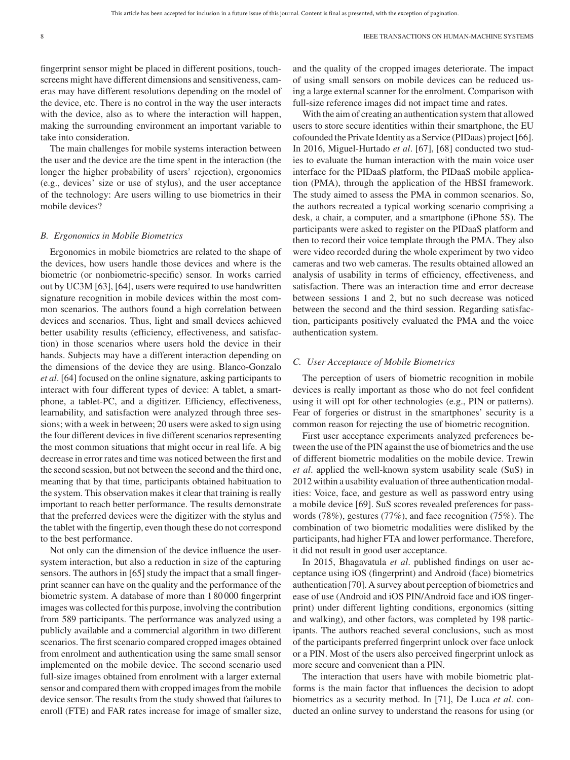fingerprint sensor might be placed in different positions, touchscreens might have different dimensions and sensitiveness, cameras may have different resolutions depending on the model of the device, etc. There is no control in the way the user interacts with the device, also as to where the interaction will happen, making the surrounding environment an important variable to take into consideration.

The main challenges for mobile systems interaction between the user and the device are the time spent in the interaction (the longer the higher probability of users' rejection), ergonomics (e.g., devices' size or use of stylus), and the user acceptance of the technology: Are users willing to use biometrics in their mobile devices?

#### *B. Ergonomics in Mobile Biometrics*

Ergonomics in mobile biometrics are related to the shape of the devices, how users handle those devices and where is the biometric (or nonbiometric-specific) sensor. In works carried out by UC3M [63], [64], users were required to use handwritten signature recognition in mobile devices within the most common scenarios. The authors found a high correlation between devices and scenarios. Thus, light and small devices achieved better usability results (efficiency, effectiveness, and satisfaction) in those scenarios where users hold the device in their hands. Subjects may have a different interaction depending on the dimensions of the device they are using. Blanco-Gonzalo *et al*. [64] focused on the online signature, asking participants to interact with four different types of device: A tablet, a smartphone, a tablet-PC, and a digitizer. Efficiency, effectiveness, learnability, and satisfaction were analyzed through three sessions; with a week in between; 20 users were asked to sign using the four different devices in five different scenarios representing the most common situations that might occur in real life. A big decrease in error rates and time was noticed between the first and the second session, but not between the second and the third one, meaning that by that time, participants obtained habituation to the system. This observation makes it clear that training is really important to reach better performance. The results demonstrate that the preferred devices were the digitizer with the stylus and the tablet with the fingertip, even though these do not correspond to the best performance.

Not only can the dimension of the device influence the usersystem interaction, but also a reduction in size of the capturing sensors. The authors in [65] study the impact that a small fingerprint scanner can have on the quality and the performance of the biometric system. A database of more than 1 80 000 fingerprint images was collected for this purpose, involving the contribution from 589 participants. The performance was analyzed using a publicly available and a commercial algorithm in two different scenarios. The first scenario compared cropped images obtained from enrolment and authentication using the same small sensor implemented on the mobile device. The second scenario used full-size images obtained from enrolment with a larger external sensor and compared them with cropped images from the mobile device sensor. The results from the study showed that failures to enroll (FTE) and FAR rates increase for image of smaller size,

and the quality of the cropped images deteriorate. The impact of using small sensors on mobile devices can be reduced using a large external scanner for the enrolment. Comparison with full-size reference images did not impact time and rates.

With the aim of creating an authentication system that allowed users to store secure identities within their smartphone, the EU cofounded the Private Identity as a Service (PIDaas) project [66]. In 2016, Miguel-Hurtado *et al*. [67], [68] conducted two studies to evaluate the human interaction with the main voice user interface for the PIDaaS platform, the PIDaaS mobile application (PMA), through the application of the HBSI framework. The study aimed to assess the PMA in common scenarios. So, the authors recreated a typical working scenario comprising a desk, a chair, a computer, and a smartphone (iPhone 5S). The participants were asked to register on the PIDaaS platform and then to record their voice template through the PMA. They also were video recorded during the whole experiment by two video cameras and two web cameras. The results obtained allowed an analysis of usability in terms of efficiency, effectiveness, and satisfaction. There was an interaction time and error decrease between sessions 1 and 2, but no such decrease was noticed between the second and the third session. Regarding satisfaction, participants positively evaluated the PMA and the voice authentication system.

#### *C. User Acceptance of Mobile Biometrics*

The perception of users of biometric recognition in mobile devices is really important as those who do not feel confident using it will opt for other technologies (e.g., PIN or patterns). Fear of forgeries or distrust in the smartphones' security is a common reason for rejecting the use of biometric recognition.

First user acceptance experiments analyzed preferences between the use of the PIN against the use of biometrics and the use of different biometric modalities on the mobile device. Trewin *et al*. applied the well-known system usability scale (SuS) in 2012 within a usability evaluation of three authentication modalities: Voice, face, and gesture as well as password entry using a mobile device [69]. SuS scores revealed preferences for passwords (78%), gestures (77%), and face recognition (75%). The combination of two biometric modalities were disliked by the participants, had higher FTA and lower performance. Therefore, it did not result in good user acceptance.

In 2015, Bhagavatula *et al*. published findings on user acceptance using iOS (fingerprint) and Android (face) biometrics authentication [70]. A survey about perception of biometrics and ease of use (Android and iOS PIN/Android face and iOS fingerprint) under different lighting conditions, ergonomics (sitting and walking), and other factors, was completed by 198 participants. The authors reached several conclusions, such as most of the participants preferred fingerprint unlock over face unlock or a PIN. Most of the users also perceived fingerprint unlock as more secure and convenient than a PIN.

The interaction that users have with mobile biometric platforms is the main factor that influences the decision to adopt biometrics as a security method. In [71], De Luca *et al*. conducted an online survey to understand the reasons for using (or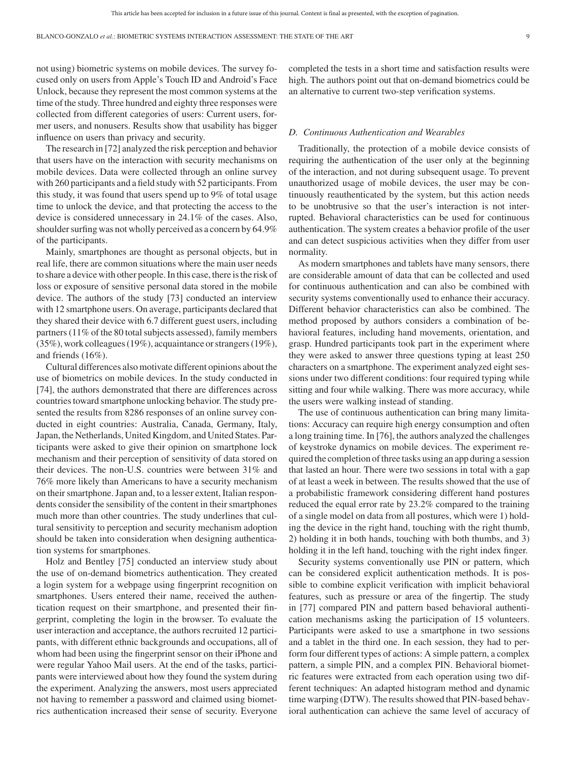not using) biometric systems on mobile devices. The survey focused only on users from Apple's Touch ID and Android's Face Unlock, because they represent the most common systems at the time of the study. Three hundred and eighty three responses were collected from different categories of users: Current users, former users, and nonusers. Results show that usability has bigger influence on users than privacy and security.

The research in [72] analyzed the risk perception and behavior that users have on the interaction with security mechanisms on mobile devices. Data were collected through an online survey with 260 participants and a field study with 52 participants. From this study, it was found that users spend up to 9% of total usage time to unlock the device, and that protecting the access to the device is considered unnecessary in 24.1% of the cases. Also, shoulder surfing was not wholly perceived as a concern by 64.9% of the participants.

Mainly, smartphones are thought as personal objects, but in real life, there are common situations where the main user needs to share a device with other people. In this case, there is the risk of loss or exposure of sensitive personal data stored in the mobile device. The authors of the study [73] conducted an interview with 12 smartphone users. On average, participants declared that they shared their device with 6.7 different guest users, including partners (11% of the 80 total subjects assessed), family members (35%), work colleagues (19%), acquaintance or strangers (19%), and friends (16%).

Cultural differences also motivate different opinions about the use of biometrics on mobile devices. In the study conducted in [74], the authors demonstrated that there are differences across countries toward smartphone unlocking behavior. The study presented the results from 8286 responses of an online survey conducted in eight countries: Australia, Canada, Germany, Italy, Japan, the Netherlands, United Kingdom, and United States. Participants were asked to give their opinion on smartphone lock mechanism and their perception of sensitivity of data stored on their devices. The non-U.S. countries were between 31% and 76% more likely than Americans to have a security mechanism on their smartphone. Japan and, to a lesser extent, Italian respondents consider the sensibility of the content in their smartphones much more than other countries. The study underlines that cultural sensitivity to perception and security mechanism adoption should be taken into consideration when designing authentication systems for smartphones.

Holz and Bentley [75] conducted an interview study about the use of on-demand biometrics authentication. They created a login system for a webpage using fingerprint recognition on smartphones. Users entered their name, received the authentication request on their smartphone, and presented their fingerprint, completing the login in the browser. To evaluate the user interaction and acceptance, the authors recruited 12 participants, with different ethnic backgrounds and occupations, all of whom had been using the fingerprint sensor on their iPhone and were regular Yahoo Mail users. At the end of the tasks, participants were interviewed about how they found the system during the experiment. Analyzing the answers, most users appreciated not having to remember a password and claimed using biometrics authentication increased their sense of security. Everyone

completed the tests in a short time and satisfaction results were high. The authors point out that on-demand biometrics could be an alternative to current two-step verification systems.

#### *D. Continuous Authentication and Wearables*

Traditionally, the protection of a mobile device consists of requiring the authentication of the user only at the beginning of the interaction, and not during subsequent usage. To prevent unauthorized usage of mobile devices, the user may be continuously reauthenticated by the system, but this action needs to be unobtrusive so that the user's interaction is not interrupted. Behavioral characteristics can be used for continuous authentication. The system creates a behavior profile of the user and can detect suspicious activities when they differ from user normality.

As modern smartphones and tablets have many sensors, there are considerable amount of data that can be collected and used for continuous authentication and can also be combined with security systems conventionally used to enhance their accuracy. Different behavior characteristics can also be combined. The method proposed by authors considers a combination of behavioral features, including hand movements, orientation, and grasp. Hundred participants took part in the experiment where they were asked to answer three questions typing at least 250 characters on a smartphone. The experiment analyzed eight sessions under two different conditions: four required typing while sitting and four while walking. There was more accuracy, while the users were walking instead of standing.

The use of continuous authentication can bring many limitations: Accuracy can require high energy consumption and often a long training time. In [76], the authors analyzed the challenges of keystroke dynamics on mobile devices. The experiment required the completion of three tasks using an app during a session that lasted an hour. There were two sessions in total with a gap of at least a week in between. The results showed that the use of a probabilistic framework considering different hand postures reduced the equal error rate by 23.2% compared to the training of a single model on data from all postures, which were 1) holding the device in the right hand, touching with the right thumb, 2) holding it in both hands, touching with both thumbs, and 3) holding it in the left hand, touching with the right index finger.

Security systems conventionally use PIN or pattern, which can be considered explicit authentication methods. It is possible to combine explicit verification with implicit behavioral features, such as pressure or area of the fingertip. The study in [77] compared PIN and pattern based behavioral authentication mechanisms asking the participation of 15 volunteers. Participants were asked to use a smartphone in two sessions and a tablet in the third one. In each session, they had to perform four different types of actions: A simple pattern, a complex pattern, a simple PIN, and a complex PIN. Behavioral biometric features were extracted from each operation using two different techniques: An adapted histogram method and dynamic time warping (DTW). The results showed that PIN-based behavioral authentication can achieve the same level of accuracy of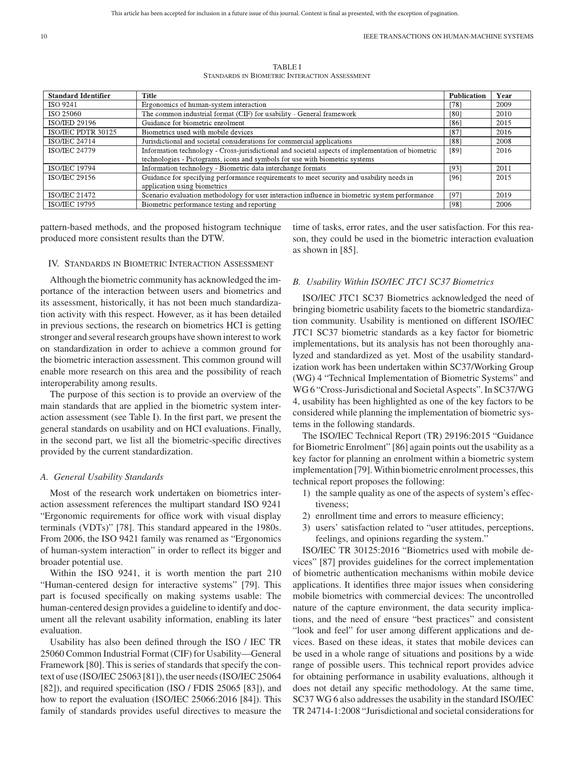TABLE I STANDARDS IN BIOMETRIC INTERACTION ASSESSMENT

| <b>Standard Identifier</b> | <b>Title</b>                                                                                      | <b>Publication</b> | Year |
|----------------------------|---------------------------------------------------------------------------------------------------|--------------------|------|
| <b>ISO 9241</b>            | Ergonomics of human-system interaction                                                            | [78]               | 2009 |
| ISO 25060                  | The common industrial format (CIF) for usability - General framework                              | [80]               | 2010 |
| <b>ISO/IED 29196</b>       | Guidance for biometric enrolment                                                                  | [86]               | 2015 |
| ISO/IEC PDTR 30125         | Biometrics used with mobile devices                                                               | [87]               | 2016 |
| <b>ISO/IEC 24714</b>       | Jurisdictional and societal considerations for commercial applications                            | [88]               | 2008 |
| <b>ISO/IEC 24779</b>       | Information technology - Cross-jurisdictional and societal aspects of implementation of biometric | [89]               | 2016 |
|                            | technologies - Pictograms, icons and symbols for use with biometric systems                       |                    |      |
| <b>ISO/IEC 19794</b>       | Information technology - Biometric data interchange formats                                       | [93]               | 2011 |
| <b>ISO/JEC 29156</b>       | Guidance for specifying performance requirements to meet security and usability needs in          | [96]               | 2015 |
|                            | application using biometrics                                                                      |                    |      |
| <b>ISO/IEC 21472</b>       | Scenario evaluation methodology for user interaction influence in biometric system performance    | [97]               | 2019 |
| <b>ISO/IEC 19795</b>       | Biometric performance testing and reporting                                                       | [98]               | 2006 |

pattern-based methods, and the proposed histogram technique produced more consistent results than the DTW.

#### IV. STANDARDS IN BIOMETRIC INTERACTION ASSESSMENT

Although the biometric community has acknowledged the importance of the interaction between users and biometrics and its assessment, historically, it has not been much standardization activity with this respect. However, as it has been detailed in previous sections, the research on biometrics HCI is getting stronger and several research groups have shown interest to work on standardization in order to achieve a common ground for the biometric interaction assessment. This common ground will enable more research on this area and the possibility of reach interoperability among results.

The purpose of this section is to provide an overview of the main standards that are applied in the biometric system interaction assessment (see Table I). In the first part, we present the general standards on usability and on HCI evaluations. Finally, in the second part, we list all the biometric-specific directives provided by the current standardization.

#### *A. General Usability Standards*

Most of the research work undertaken on biometrics interaction assessment references the multipart standard ISO 9241 "Ergonomic requirements for office work with visual display terminals (VDTs)" [78]. This standard appeared in the 1980s. From 2006, the ISO 9421 family was renamed as "Ergonomics of human-system interaction" in order to reflect its bigger and broader potential use.

Within the ISO 9241, it is worth mention the part 210 "Human-centered design for interactive systems" [79]. This part is focused specifically on making systems usable: The human-centered design provides a guideline to identify and document all the relevant usability information, enabling its later evaluation.

Usability has also been defined through the ISO / IEC TR 25060 Common Industrial Format (CIF) for Usability—General Framework [80]. This is series of standards that specify the context of use (ISO/IEC 25063 [81]), the user needs (ISO/IEC 25064 [82]), and required specification (ISO / FDIS 25065 [83]), and how to report the evaluation (ISO/IEC 25066:2016 [84]). This family of standards provides useful directives to measure the time of tasks, error rates, and the user satisfaction. For this reason, they could be used in the biometric interaction evaluation as shown in [85].

#### *B. Usability Within ISO/IEC JTC1 SC37 Biometrics*

ISO/IEC JTC1 SC37 Biometrics acknowledged the need of bringing biometric usability facets to the biometric standardization community. Usability is mentioned on different ISO/IEC JTC1 SC37 biometric standards as a key factor for biometric implementations, but its analysis has not been thoroughly analyzed and standardized as yet. Most of the usability standardization work has been undertaken within SC37/Working Group (WG) 4 "Technical Implementation of Biometric Systems" and WG 6 "Cross-Jurisdictional and Societal Aspects". In SC37/WG 4, usability has been highlighted as one of the key factors to be considered while planning the implementation of biometric systems in the following standards.

The ISO/IEC Technical Report (TR) 29196:2015 "Guidance for Biometric Enrolment" [86] again points out the usability as a key factor for planning an enrolment within a biometric system implementation [79].Within biometric enrolment processes, this technical report proposes the following:

- 1) the sample quality as one of the aspects of system's effectiveness;
- 2) enrollment time and errors to measure efficiency;
- 3) users' satisfaction related to "user attitudes, perceptions, feelings, and opinions regarding the system."

ISO/IEC TR 30125:2016 "Biometrics used with mobile devices" [87] provides guidelines for the correct implementation of biometric authentication mechanisms within mobile device applications. It identifies three major issues when considering mobile biometrics with commercial devices: The uncontrolled nature of the capture environment, the data security implications, and the need of ensure "best practices" and consistent "look and feel" for user among different applications and devices. Based on these ideas, it states that mobile devices can be used in a whole range of situations and positions by a wide range of possible users. This technical report provides advice for obtaining performance in usability evaluations, although it does not detail any specific methodology. At the same time, SC37 WG 6 also addresses the usability in the standard ISO/IEC TR 24714-1:2008 "Jurisdictional and societal considerations for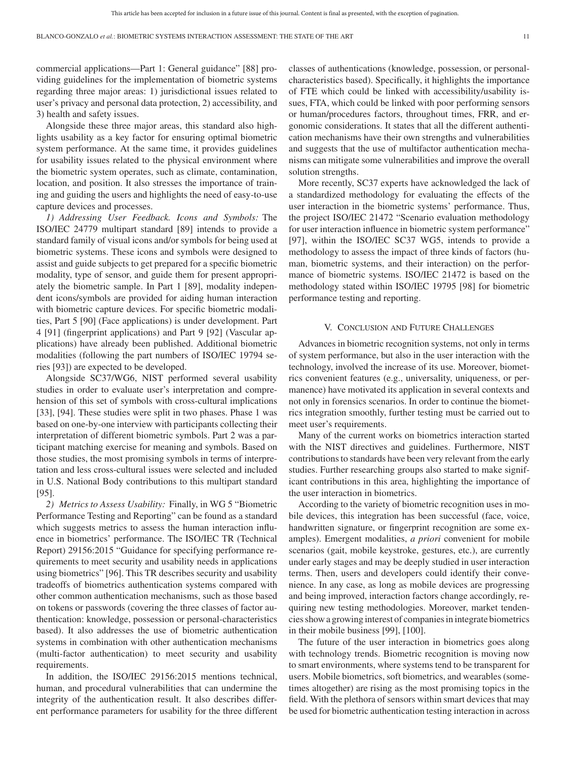commercial applications—Part 1: General guidance" [88] providing guidelines for the implementation of biometric systems regarding three major areas: 1) jurisdictional issues related to user's privacy and personal data protection, 2) accessibility, and 3) health and safety issues.

Alongside these three major areas, this standard also highlights usability as a key factor for ensuring optimal biometric system performance. At the same time, it provides guidelines for usability issues related to the physical environment where the biometric system operates, such as climate, contamination, location, and position. It also stresses the importance of training and guiding the users and highlights the need of easy-to-use capture devices and processes.

*1) Addressing User Feedback. Icons and Symbols:* The ISO/IEC 24779 multipart standard [89] intends to provide a standard family of visual icons and/or symbols for being used at biometric systems. These icons and symbols were designed to assist and guide subjects to get prepared for a specific biometric modality, type of sensor, and guide them for present appropriately the biometric sample. In Part 1 [89], modality independent icons/symbols are provided for aiding human interaction with biometric capture devices. For specific biometric modalities, Part 5 [90] (Face applications) is under development. Part 4 [91] (fingerprint applications) and Part 9 [92] (Vascular applications) have already been published. Additional biometric modalities (following the part numbers of ISO/IEC 19794 series [93]) are expected to be developed.

Alongside SC37/WG6, NIST performed several usability studies in order to evaluate user's interpretation and comprehension of this set of symbols with cross-cultural implications [33], [94]. These studies were split in two phases. Phase 1 was based on one-by-one interview with participants collecting their interpretation of different biometric symbols. Part 2 was a participant matching exercise for meaning and symbols. Based on those studies, the most promising symbols in terms of interpretation and less cross-cultural issues were selected and included in U.S. National Body contributions to this multipart standard [95].

*2) Metrics to Assess Usability:* Finally, in WG 5 "Biometric Performance Testing and Reporting" can be found as a standard which suggests metrics to assess the human interaction influence in biometrics' performance. The ISO/IEC TR (Technical Report) 29156:2015 "Guidance for specifying performance requirements to meet security and usability needs in applications using biometrics" [96]. This TR describes security and usability tradeoffs of biometrics authentication systems compared with other common authentication mechanisms, such as those based on tokens or passwords (covering the three classes of factor authentication: knowledge, possession or personal-characteristics based). It also addresses the use of biometric authentication systems in combination with other authentication mechanisms (multi-factor authentication) to meet security and usability requirements.

In addition, the ISO/IEC 29156:2015 mentions technical, human, and procedural vulnerabilities that can undermine the integrity of the authentication result. It also describes different performance parameters for usability for the three different classes of authentications (knowledge, possession, or personalcharacteristics based). Specifically, it highlights the importance of FTE which could be linked with accessibility/usability issues, FTA, which could be linked with poor performing sensors or human/procedures factors, throughout times, FRR, and ergonomic considerations. It states that all the different authentication mechanisms have their own strengths and vulnerabilities and suggests that the use of multifactor authentication mechanisms can mitigate some vulnerabilities and improve the overall solution strengths.

More recently, SC37 experts have acknowledged the lack of a standardized methodology for evaluating the effects of the user interaction in the biometric systems' performance. Thus, the project ISO/IEC 21472 "Scenario evaluation methodology for user interaction influence in biometric system performance" [97], within the ISO/IEC SC37 WG5, intends to provide a methodology to assess the impact of three kinds of factors (human, biometric systems, and their interaction) on the performance of biometric systems. ISO/IEC 21472 is based on the methodology stated within ISO/IEC 19795 [98] for biometric performance testing and reporting.

#### V. CONCLUSION AND FUTURE CHALLENGES

Advances in biometric recognition systems, not only in terms of system performance, but also in the user interaction with the technology, involved the increase of its use. Moreover, biometrics convenient features (e.g., universality, uniqueness, or permanence) have motivated its application in several contexts and not only in forensics scenarios. In order to continue the biometrics integration smoothly, further testing must be carried out to meet user's requirements.

Many of the current works on biometrics interaction started with the NIST directives and guidelines. Furthermore, NIST contributions to standards have been very relevant from the early studies. Further researching groups also started to make significant contributions in this area, highlighting the importance of the user interaction in biometrics.

According to the variety of biometric recognition uses in mobile devices, this integration has been successful (face, voice, handwritten signature, or fingerprint recognition are some examples). Emergent modalities, *a priori* convenient for mobile scenarios (gait, mobile keystroke, gestures, etc.), are currently under early stages and may be deeply studied in user interaction terms. Then, users and developers could identify their convenience. In any case, as long as mobile devices are progressing and being improved, interaction factors change accordingly, requiring new testing methodologies. Moreover, market tendencies show a growing interest of companies in integrate biometrics in their mobile business [99], [100].

The future of the user interaction in biometrics goes along with technology trends. Biometric recognition is moving now to smart environments, where systems tend to be transparent for users. Mobile biometrics, soft biometrics, and wearables (sometimes altogether) are rising as the most promising topics in the field. With the plethora of sensors within smart devices that may be used for biometric authentication testing interaction in across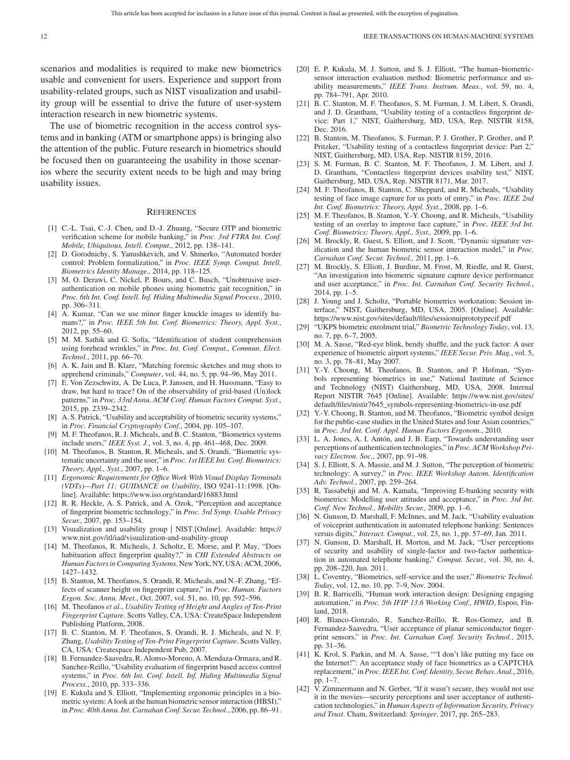scenarios and modalities is required to make new biometrics usable and convenient for users. Experience and support from usability-related groups, such as NIST visualization and usability group will be essential to drive the future of user-system interaction research in new biometric systems.

The use of biometric recognition in the access control systems and in banking (ATM or smartphone apps) is bringing also the attention of the public. Future research in biometrics should be focused then on guaranteeing the usability in those scenarios where the security extent needs to be high and may bring usability issues.

#### **REFERENCES**

- [1] C.-L. Tsai, C.-J. Chen, and D.-J. Zhuang, "Secure OTP and biometric verification scheme for mobile banking," in *Proc. 3rd FTRA Int. Conf. Mobile, Ubiquitous, Intell. Comput.*, 2012, pp. 138–141.
- [2] D. Gorodnichy, S. Yanushkevich, and V. Shmerko, "Automated border control: Problem formalization," in *Proc. IEEE Symp. Comput. Intell. Biometrics Identity Manage.,* 2014, pp. 118–125.
- [3] M. O. Derawi, C. Nickel, P. Bours, and C. Busch, "Unobtrusive userauthentication on mobile phones using biometric gait recognition," in *Proc. 6th Int. Conf. Intell. Inf. Hiding Multimedia Signal Process.*, 2010, pp. 306–311.
- [4] A. Kumar, "Can we use minor finger knuckle images to identify humans?," in *Proc. IEEE 5th Int. Conf. Biometrics: Theory, Appl. Syst.*, 2012, pp. 55–60.
- [5] M. M. Sathik and G. Sofia, "Identification of student comprehension using forehead wrinkles," in *Proc. Int. Conf. Comput., Commun. Elect. Technol.*, 2011, pp. 66–70.
- [6] A. K. Jain and B. Klare, "Matching forensic sketches and mug shots to apprehend criminals," *Computer*, vol. 44, no. 5, pp. 94–96, May 2011.
- [7] E. Von Zezschwitz, A. De Luca, P. Janssen, and H. Hussmann, "Easy to draw, but hard to trace? On of the observability of grid-based (Un)lock patterns," in *Proc. 33rd Annu. ACM Conf. Human Factors Comput. Syst.*, 2015, pp. 2339–2342.
- [8] A. S. Patrick, "Usability and acceptability of biometric security systems," in *Proc. Financial Cryptography Conf.*, 2004, pp. 105–107.
- [9] M. F. Theofanos, R. J. Micheals, and B. C. Stanton, "Biometrics systems include users," *IEEE Syst. J.*, vol. 3, no. 4, pp. 461–468, Dec. 2009.
- [10] M. Theofanos, B. Stanton, R. Micheals, and S. Orandi, "Biometric systematic uncertainty and the user," in *Proc. 1st IEEE Int. Conf. Biometrics: Theory, Appl., Syst.*, 2007, pp. 1–6.
- [11] *Ergonomic Requirements for Office Work With Visual Display Terminals (VDTs)—Part 11: GUIDANCE on Usability*, ISO 9241-11:1998. [Online]. Available:<https://www.iso.org/standard/16883.html>
- [12] R. R. Heckle, A. S. Patrick, and A. Ozok, "Perception and acceptance of fingerprint biometric technology," in *Proc. 3rd Symp. Usable Privacy Secur.*, 2007, pp. 153–154.
- [13] [Visualization and usability group | NIST.\[Online\]. Available: https://](https://www.nist.gov/itl/iad/visualization-and-usability-group) www.nist.gov/itl/iad/visualization-and-usability-group
- [14] M. Theofanos, R. Micheals, J. Scholtz, E. Morse, and P. May, "Does habituation affect fingerprint quality?," in *CHI Extended Abstracts on Human Factors in Computing Systems*. New York, NY, USA: ACM, 2006, 1427–1432.
- [15] B. Stanton, M. Theofanos, S. Orandi, R. Micheals, and N.-F. Zhang, "Effects of scanner height on fingerprint capture," in *Proc. Human. Factors Ergon. Soc. Annu. Meet.*, Oct. 2007, vol. 51, no. 10, pp. 592–596.
- [16] M. Theofanos *et al.*, *Usability Testing of Height and Angles of Ten-Print Fingerprint Capture*. Scotts Valley, CA, USA: CreateSpace Independent Publishing Platform, 2008.
- [17] B. C. Stanton, M. F. Theofanos, S. Orandi, R. J. Micheals, and N. F. Zhang, *Usability Testing of Ten-Print Fingerprint Capture*. Scotts Valley, CA, USA: Createspace Independent Pub, 2007.
- [18] B. Fernandez-Saavedra, R. Alonso-Moreno, A. Mendaza-Ormaza, and R. Sanchez-Reillo, "Usability evaluation of fingerprint based access control systems," in *Proc. 6th Int. Conf. Intell. Inf. Hiding Multimedia Signal Process.*, 2010, pp. 333–336.
- [19] E. Kukula and S. Elliott, "Implementing ergonomic principles in a biometric system: A look at the human biometric sensor interaction (HBSI)," in *Proc. 40th Annu. Int. Carnahan Conf. Secur. Technol.*, 2006, pp. 86–91.
- [20] E. P. Kukula, M. J. Sutton, and S. J. Elliott, "The human–biometricsensor interaction evaluation method: Biometric performance and usability measurements," *IEEE Trans. Instrum. Meas.*, vol. 59, no. 4, pp. 784–791, Apr. 2010.
- [21] B. C. Stanton, M. F. Theofanos, S. M. Furman, J. M. Libert, S. Orandi, and J. D. Grantham, "Usability testing of a contactless fingerprint device: Part 1," NIST, Gaithersburg, MD, USA, Rep. NISTIR 8158, Dec. 2016.
- [22] B. Stanton, M. Theofanos, S. Furman, P. J. Grother, P. Grother, and P. Pritzker, "Usability testing of a contactless fingerprint device: Part 2," NIST, Gaithersburg, MD, USA, Rep. NISTIR 8159, 2016.
- [23] S. M. Furman, B. C. Stanton, M. F. Theofanos, J. M. Libert, and J. D. Grantham, "Contactless fingerprint devices usability test," NIST, Gaithersburg, MD, USA, Rep. NISTIR 8171, Mar. 2017.
- [24] M. F. Theofanos, B. Stanton, C. Sheppard, and R. Micheals, "Usability testing of face image capture for us ports of entry," in *Proc. IEEE 2nd Int. Conf. Biometrics: Theory, Appl. Syst.*, 2008, pp. 1–6.
- [25] M. F. Theofanos, B. Stanton, Y.-Y. Choong, and R. Micheals, "Usability testing of an overlay to improve face capture," in *Proc. IEEE 3rd Int. Conf. Biometrics: Theory, Appl., Syst.,* 2009, pp. 1–6.
- [26] M. Brockly, R. Guest, S. Elliott, and J. Scott, "Dynamic signature verification and the human biometric sensor interaction model," in *Proc. Carnahan Conf. Secur. Technol.,* 2011, pp. 1–6.
- [27] M. Brockly, S. Elliott, J. Burdine, M. Frost, M. Riedle, and R. Guest, "An investigation into biometric signature capture device performance and user acceptance," in *Proc. Int. Carnahan Conf. Security Technol.*, 2014, pp. 1–5.
- [28] J. Young and J. Scholtz, "Portable biometrics workstation: Session interface," NIST, Gaithersburg, MD, USA, 2005. [Online]. Available: <https://www.nist.gov/sites/default/files/sessionuiprototypecif.pdf>
- [29] "UKPS biometric enrolment trial," *Biometric Technology Today*, vol. 13, no. 7, pp. 6–7, 2005.
- [30] M. A. Sasse, "Red-eye blink, bendy shuffle, and the yuck factor: A user experience of biometric airport systems," *IEEE Secur. Priv. Mag.*, vol. 5, no. 3, pp. 78–81, May 2007.
- [31] Y.-Y. Choong, M. Theofanos, B. Stanton, and P. Hofman, "Symbols representing biometrics in use," National Institute of Science and Technology (NIST) Gaithersburg, MD, USA, 2008. Internal [Report NISTIR 7645 \[Online\]. Available: https://www.nist.gov/sites/](https://www.nist.gov/sites/default/files/nistir7645_symbols-representing-biometrics-in-use.pdf) default/files/nistir7645\_symbols-representing-biometrics-in-use.pdf
- [32] Y.-Y. Choong, B. Stanton, and M. Theofanos, "Biometric symbol design for the public-case studies in the United States and four Asian countries," in *Proc. 3rd Int. Conf. Appl. Human Factors Ergonom.*, 2010.
- [33] L. A. Jones, A. I. Antón, and J. B. Earp, "Towards understanding user perceptions of authentication technologies," in *Proc. ACM Workshop Privacy Electron. Soc.*, 2007, pp. 91–98.
- [34] S. J. Elliott, S. A. Massie, and M. J. Sutton, "The perception of biometric technology: A survey," in *Proc. IEEE Workshop Autom. Identification Adv. Technol.*, 2007, pp. 259–264.
- [35] R. Tassabehji and M. A. Kamala, "Improving E-banking security with biometrics: Modelling user attitudes and acceptance," in *Proc. 3rd Int. Conf. New Technol., Mobility Secur.*, 2009, pp. 1–6.
- [36] N. Gunson, D. Marshall, F. McInnes, and M. Jack, "Usability evaluation of voiceprint authentication in automated telephone banking: Sentences versus digits," *Interact. Comput.*, vol. 23, no. 1, pp. 57–69, Jan. 2011.
- [37] N. Gunson, D. Marshall, H. Morton, and M. Jack, "User perceptions of security and usability of single-factor and two-factor authentication in automated telephone banking," *Comput. Secur.*, vol. 30, no. 4, pp. 208–220, Jun. 2011.
- [38] L. Coventry, "Biometrics, self-service and the user," *Biometric Technol. Today*, vol. 12, no. 10, pp. 7–9, Nov. 2004.
- [39] B. R. Barricelli, "Human work interaction design: Designing engaging automation," in *Proc. 5th IFIP 13.6 Working Conf., HWID*, Espoo, Finland, 2018.
- [40] R. Blanco-Gonzalo, R. Sanchez-Reillo, R. Ros-Gomez, and B. Fernandez-Saavedra, "User acceptance of planar semiconductor fingerprint sensors," in *Proc. Int. Carnahan Conf. Security Technol.*, 2015, pp. 31–36.
- [41] K. Krol, S. Parkin, and M. A. Sasse, ""I don't like putting my face on the Internet!": An acceptance study of face biometrics as a CAPTCHA replacement," in *Proc. IEEE Int. Conf. Identity, Secur. Behav. Anal.*, 2016, pp. 1–7.
- [42] V. Zimmermann and N. Gerber, "If it wasn't secure, they would not use it in the movies—security perceptions and user acceptance of authentication technologies," in *Human Aspects of Information Security, Privacy and Trust*. Cham, Switzerland: *Springer*, 2017, pp. 265–283.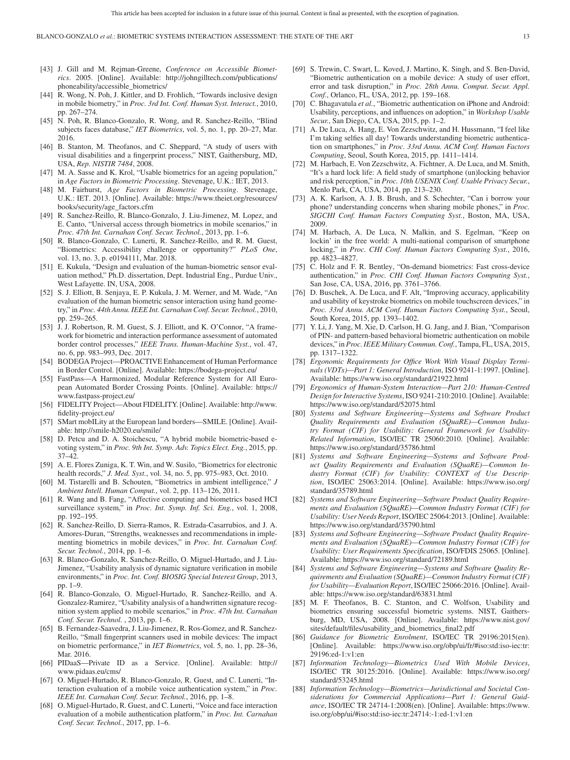- [43] J. Gill and M. Rejman-Greene, *Conference on Accessible Biometrics*[. 2005. \[Online\]. Available: http://johngilltech.com/publications/](http://johngilltech.com/publications/phoneability/accessible_biometrics/) phoneability/accessible\_biometrics/
- [44] R. Wong, N. Poh, J. Kittler, and D. Frohlich, "Towards inclusive design in mobile biometry," in *Proc. 3rd Int. Conf. Human Syst. Interact.*, 2010, pp. 267–274.
- [45] N. Poh, R. Blanco-Gonzalo, R. Wong, and R. Sanchez-Reillo, "Blind subjects faces database," *IET Biometrics*, vol. 5, no. 1, pp. 20–27, Mar. 2016.
- [46] B. Stanton, M. Theofanos, and C. Sheppard, "A study of users with visual disabilities and a fingerprint process," NIST, Gaithersburg, MD, USA, *Rep. NISTIR 7484*, 2008.
- [47] M. A. Sasse and K. Krol, "Usable biometrics for an ageing population," in *Age Factors in Biometric Processing*. Stevenage, U.K.: IET, 2013.
- [48] M. Fairhurst, *Age Factors in Biometric Processing*. Stevenage, [U.K.: IET. 2013. \[Online\]. Available: https://www.theiet.org/resources/](https://www.theiet.org/resources/books/security/age_factors.cfm) books/security/age\_factors.cfm
- [49] R. Sanchez-Reillo, R. Blanco-Gonzalo, J. Liu-Jimenez, M. Lopez, and E. Canto, "Universal access through biometrics in mobile scenarios," in *Proc. 47th Int. Carnahan Conf. Secur. Technol.*, 2013, pp. 1–6.
- [50] R. Blanco-Gonzalo, C. Lunerti, R. Sanchez-Reillo, and R. M. Guest, "Biometrics: Accessibility challenge or opportunity?" *PLoS One*, vol. 13, no. 3, p. e0194111, Mar. 2018.
- [51] E. Kukula, "Design and evaluation of the human-biometric sensor evaluation method," Ph.D. dissertation, Dept. Industrial Eng., Purdue Univ., West Lafayette. IN, USA, 2008.
- [52] S. J. Elliott, B. Senjaya, E. P. Kukula, J. M. Werner, and M. Wade, "An evaluation of the human biometric sensor interaction using hand geometry," in *Proc. 44th Annu. IEEE Int. Carnahan Conf. Secur. Technol.*, 2010, pp. 259–265.
- [53] J. J. Robertson, R. M. Guest, S. J. Elliott, and K. O'Connor, "A framework for biometric and interaction performance assessment of automated border control processes," *IEEE Trans. Human-Machine Syst.*, vol. 47, no. 6, pp. 983–993, Dec. 2017.
- [54] BODEGA Project—PROACTIVE Enhancement of Human Performance in Border Control. [Online]. Available:<https://bodega-project.eu/>
- [55] FastPass—A Harmonized, Modular Reference System for All Euro[pean Automated Border Crossing Points. \[Online\]. Available: https://](https://www.fastpass-project.eu/) www.fastpass-project.eu/
- [56] [FIDELITY Project—About FIDELITY. \[Online\]. Available: http://www.](http://www.fidelity-project.eu/) fidelity-project.eu/
- [57] SMart mobILity at the European land borders—SMILE. [Online]. Available:<http://smile-h2020.eu/smile/>
- [58] D. Petcu and D. A. Stoichescu, "A hybrid mobile biometric-based evoting system," in *Proc. 9th Int. Symp. Adv. Topics Elect. Eng.*, 2015, pp. 37–42.
- [59] A. E. Flores Zuniga, K. T. Win, and W. Susilo, "Biometrics for electronic health records," *J. Med. Syst.*, vol. 34, no. 5, pp. 975–983, Oct. 2010.
- [60] M. Tistarelli and B. Schouten, "Biometrics in ambient intelligence," *J Ambient Intell. Human Comput.*, vol. 2, pp. 113–126, 2011.
- [61] R. Wang and B. Fang, "Affective computing and biometrics based HCI surveillance system," in *Proc. Int. Symp. Inf. Sci. Eng.*, vol. 1, 2008, pp. 192–195.
- [62] R. Sanchez-Reillo, D. Sierra-Ramos, R. Estrada-Casarrubios, and J. A. Amores-Duran, "Strengths, weaknesses and recommendations in implementing biometrics in mobile devices," in *Proc. Int. Carnahan Conf. Secur. Technol.*, 2014, pp. 1–6.
- [63] R. Blanco-Gonzalo, R. Sanchez-Reillo, O. Miguel-Hurtado, and J. Liu-Jimenez, "Usability analysis of dynamic signature verification in mobile environments," in *Proc. Int. Conf. BIOSIG Special Interest Group*, 2013, pp. 1–9.
- [64] R. Blanco-Gonzalo, O. Miguel-Hurtado, R. Sanchez-Reillo, and A. Gonzalez-Ramirez, "Usability analysis of a handwritten signature recognition system applied to mobile scenarios," in *Proc. 47th Int. Carnahan Conf. Secur. Technol.* , 2013, pp. 1–6.
- [65] B. Fernandez-Saavedra, J. Liu-Jimenez, R. Ros-Gomez, and R. Sanchez-Reillo, "Small fingerprint scanners used in mobile devices: The impact on biometric performance," in *IET Biometrics*, vol. 5, no. 1, pp. 28–36, Mar. 2016.
- [66] [PIDaaS—Private ID as a Service. \[Online\]. Available: http://](http://www.pidaas.eu/cms/) www.pidaas.eu/cms/
- [67] O. Miguel-Hurtado, R. Blanco-Gonzalo, R. Guest, and C. Lunerti, "Interaction evaluation of a mobile voice authentication system," in *Proc. IEEE Int. Carnahan Conf. Secur. Technol.*, 2016, pp. 1–8.
- [68] O. Miguel-Hurtado, R. Guest, and C. Lunerti, "Voice and face interaction evaluation of a mobile authentication platform," in *Proc. Int. Carnahan Conf. Secur. Technol.*, 2017, pp. 1–6.
- [69] S. Trewin, C. Swart, L. Koved, J. Martino, K. Singh, and S. Ben-David, "Biometric authentication on a mobile device: A study of user effort, error and task disruption," in *Proc. 28th Annu. Comput. Secur. Appl. Conf.*, Orlanco, FL, USA, 2012, pp. 159–168.
- [70] C. Bhagavatula et al., "Biometric authentication on iPhone and Android: Usability, perceptions, and influences on adoption," in *Workshop Usable Secur.*, San Diego, CA, USA, 2015, pp. 1–2.
- [71] A. De Luca, A. Hang, E. Von Zezschwitz, and H. Hussmann, "I feel like I'm taking selfies all day! Towards understanding biometric authentication on smartphones," in *Proc. 33rd Annu. ACM Conf. Human Factors Computing*, Seoul, South Korea, 2015, pp. 1411–1414.
- [72] M. Harbach, E. Von Zezschwitz, A. Fichtner, A. De Luca, and M. Smith, "It's a hard lock life: A field study of smartphone (un)locking behavior and risk perception," in *Proc. 10th USENIX Conf. Usable Privacy Secur.*, Menlo Park, CA, USA, 2014, pp. 213–230.
- [73] A. K. Karlson, A. J. B. Brush, and S. Schechter, "Can i borrow your phone? understanding concerns when sharing mobile phones," in *Proc. SIGCHI Conf. Human Factors Computing Syst.*, Boston, MA, USA, 2009.
- [74] M. Harbach, A. De Luca, N. Malkin, and S. Egelman, "Keep on lockin' in the free world: A multi-national comparison of smartphone locking," in *Proc. CHI Conf. Human Factors Computing Syst.*, 2016, pp. 4823–4827.
- [75] C. Holz and F. R. Bentley, "On-demand biometrics: Fast cross-device authentication," in *Proc. CHI Conf. Human Factors Computing Syst.*, San Jose, CA, USA, 2016, pp. 3761–3766.
- [76] D. Buschek, A. De Luca, and F. Alt, "Improving accuracy, applicability and usability of keystroke biometrics on mobile touchscreen devices," in *Proc. 33rd Annu. ACM Conf. Human Factors Computing Syst.*, Seoul, South Korea, 2015, pp. 1393–1402.
- [77] Y. Li, J. Yang, M. Xie, D. Carlson, H. G. Jang, and J. Bian, "Comparison of PIN- and pattern-based behavioral biometric authentication on mobile devices," in *Proc. IEEE Military Commun. Conf.*, Tampa, FL, USA, 2015, pp. 1317–1322.
- [78] *Ergonomic Requirements for Office Work With Visual Display Terminals (VDTs)—Part 1: General Introduction*, ISO 9241-1:1997. [Online]. Available:<https://www.iso.org/standard/21922.html>
- [79] *Ergonomics of Human-System Interaction—Part 210: Human-Centred Design for Interactive Systems*, ISO 9241-210:2010. [Online]. Available: <https://www.iso.org/standard/52075.html>
- [80] *Systems and Software Engineering—Systems and Software Product Quality Requirements and Evaluation (SQuaRE)—Common Industry Format (CIF) for Usability: General Framework for Usability-Related Information*, ISO/IEC TR 25060:2010. [Online]. Available: <https://www.iso.org/standard/35786.html>
- [81] *Systems and Software Engineering—Systems and Software Product Quality Requirements and Evaluation (SQuaRE)—Common Industry Format (CIF) for Usability: CONTEXT of Use Description*[, ISO/IEC 25063:2014. \[Online\]. Available: https://www.iso.org/](https://www.iso.org/standard/35789.html) standard/35789.html
- [82] *Systems and Software Engineering—Software Product Quality Requirements and Evaluation (SQuaRE)—Common Industry Format (CIF) for Usability: User Needs Report*, ISO/IEC 25064:2013. [Online]. Available: <https://www.iso.org/standard/35790.html>
- [83] *Systems and Software Engineering—Software Product Quality Requirements and Evaluation (SQuaRE)—Common Industry Format (CIF) for Usability: User Requirements Specification*, ISO/FDIS 25065. [Online]. Available:<https://www.iso.org/standard/72189.html>
- [84] *Systems and Software Engineering—Systems and Software Quality Requirements and Evaluation (SQuaRE)—Common Industry Format (CIF) for Usability—Evaluation Report*, ISO/IEC 25066:2016. [Online]. Available:<https://www.iso.org/standard/63831.html>
- [85] M. F. Theofanos, B. C. Stanton, and C. Wolfson, Usability and biometrics ensuring successful biometric systems. NIST, Gaithers[burg, MD, USA, 2008. \[Online\]. Available: https://www.nist.gov/](https://www.nist.gov/sites/default/files/usability_and_biometrics_final2.pdf) sites/default/files/usability\_and\_biometrics\_final2.pdf
- [86] *Guidance for Biometric Enrolment*, ISO/IEC TR 29196:2015(en). [\[Online\]. Available: https://www.iso.org/obp/ui/fr/#iso:std:iso-iec:tr:](https://www.iso.org/obp/ui/fr/#iso:std:iso-iec:tr:29196:ed-1:v1:en) 29196:ed-1:v1:en
- [87] *Information Technology—Biometrics Used With Mobile Devices*, [ISO/IEC TR 30125:2016. \[Online\]. Available: https://www.iso.org/](https://www.iso.org/standard/53245.html) standard/53245.html
- [88] *Information Technology—Biometrics—Jurisdictional and Societal Considerations for Commercial Applications—Part 1: General Guidance*[, ISO/IEC TR 24714-1:2008\(en\). \[Online\]. Available: https://www.](https://www.iso.org/obp/ui/#iso:std:iso-iec:tr:24714:-1:ed-1:v1:en) iso.org/obp/ui/#iso:std:iso-iec:tr:24714:-1:ed-1:v1:en